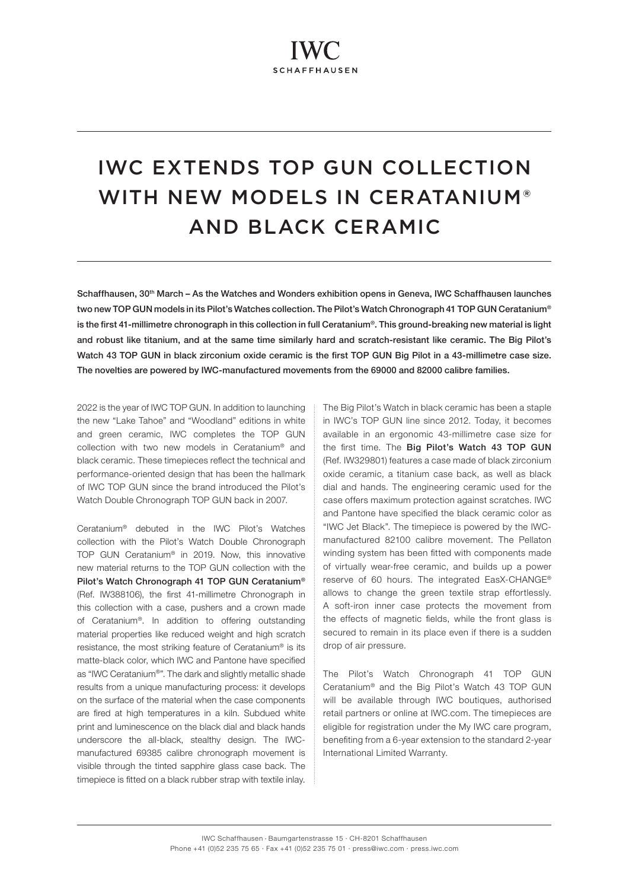# IWC EXTENDS TOP GUN COLLECTION WITH NEW MODELS IN CERATANIUM® AND BLACK CERAMIC

Schaffhausen, 30<sup>th</sup> March – As the Watches and Wonders exhibition opens in Geneva, IWC Schaffhausen launches two new TOP GUN models in its Pilot's Watches collection. The Pilot's Watch Chronograph 41 TOP GUN Ceratanium<sup>®</sup> is the first 41-millimetre chronograph in this collection in full Ceratanium®. This ground-breaking new material is light and robust like titanium, and at the same time similarly hard and scratch-resistant like ceramic. The Big Pilot's Watch 43 TOP GUN in black zirconium oxide ceramic is the first TOP GUN Big Pilot in a 43-millimetre case size. The novelties are powered by IWC-manufactured movements from the 69000 and 82000 calibre families.

2022 is the year of IWC TOP GUN. In addition to launching the new "Lake Tahoe" and "Woodland" editions in white and green ceramic, IWC completes the TOP GUN collection with two new models in Ceratanium® and black ceramic. These timepieces reflect the technical and performance-oriented design that has been the hallmark of IWC TOP GUN since the brand introduced the Pilot's Watch Double Chronograph TOP GUN back in 2007.

Ceratanium® debuted in the IWC Pilot's Watches collection with the Pilot's Watch Double Chronograph TOP GUN Ceratanium® in 2019. Now, this innovative new material returns to the TOP GUN collection with the Pilot's Watch Chronograph 41 TOP GUN Ceratanium® (Ref. IW388106), the first 41-millimetre Chronograph in this collection with a case, pushers and a crown made of Ceratanium®. In addition to offering outstanding material properties like reduced weight and high scratch resistance, the most striking feature of Ceratanium® is its matte-black color, which IWC and Pantone have specified as "IWC Ceratanium®". The dark and slightly metallic shade results from a unique manufacturing process: it develops on the surface of the material when the case components are fired at high temperatures in a kiln. Subdued white print and luminescence on the black dial and black hands underscore the all-black, stealthy design. The IWCmanufactured 69385 calibre chronograph movement is visible through the tinted sapphire glass case back. The timepiece is fitted on a black rubber strap with textile inlay. The Big Pilot's Watch in black ceramic has been a staple in IWC's TOP GUN line since 2012. Today, it becomes available in an ergonomic 43-millimetre case size for the first time. The Big Pilot's Watch 43 TOP GUN (Ref. IW329801) features a case made of black zirconium oxide ceramic, a titanium case back, as well as black dial and hands. The engineering ceramic used for the case offers maximum protection against scratches. IWC and Pantone have specified the black ceramic color as "IWC Jet Black". The timepiece is powered by the IWCmanufactured 82100 calibre movement. The Pellaton winding system has been fitted with components made of virtually wear-free ceramic, and builds up a power reserve of 60 hours. The integrated EasX-CHANGE® allows to change the green textile strap effortlessly. A soft-iron inner case protects the movement from the effects of magnetic fields, while the front glass is secured to remain in its place even if there is a sudden drop of air pressure.

The Pilot's Watch Chronograph 41 TOP GUN Ceratanium® and the Big Pilot's Watch 43 TOP GUN will be available through IWC boutiques, authorised retail partners or online at IWC.com. The timepieces are eligible for registration under the My IWC care program, benefiting from a 6-year extension to the standard 2-year International Limited Warranty.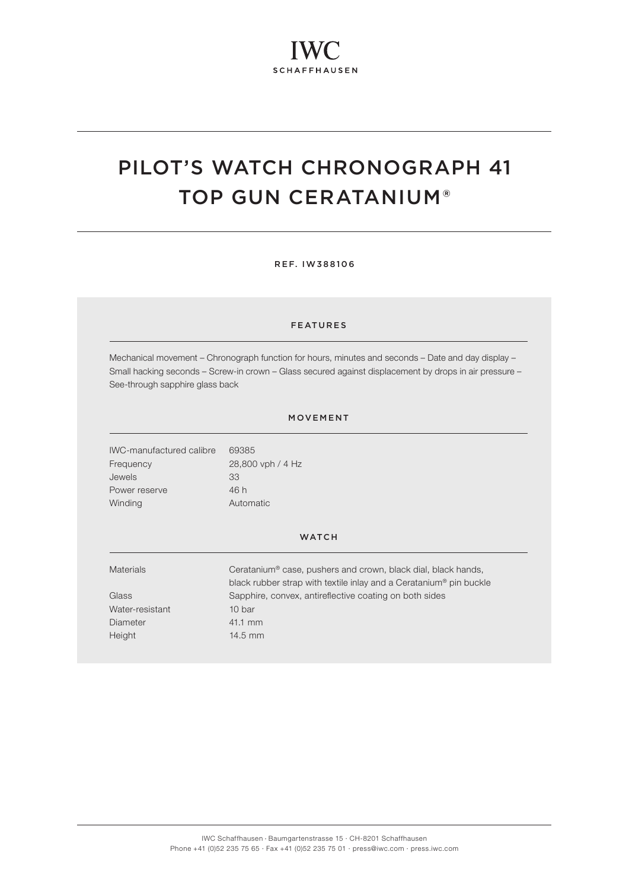# PILOT'S WATCH CHRONOGRAPH 41 TOP GUN CERATANIUM®

REF. IW388106

### FEATURES

Mechanical movement – Chronograph function for hours, minutes and seconds – Date and day display – Small hacking seconds – Screw-in crown – Glass secured against displacement by drops in air pressure – See-through sapphire glass back

#### MOVEMENT

IWC-manufactured calibre 69385 Frequency 28,800 vph / 4 Hz Jewels 33 Power reserve 46 h Winding **Automatic** 

### **WATCH**

| <b>Materials</b> | Ceratanium <sup>®</sup> case, pushers and crown, black dial, black hands,      |
|------------------|--------------------------------------------------------------------------------|
|                  | black rubber strap with textile inlay and a Ceratanium <sup>®</sup> pin buckle |
| Glass            | Sapphire, convex, antireflective coating on both sides                         |
| Water-resistant  | 10 bar                                                                         |
| Diameter         | 41.1 mm                                                                        |
| Height           | $14.5$ mm                                                                      |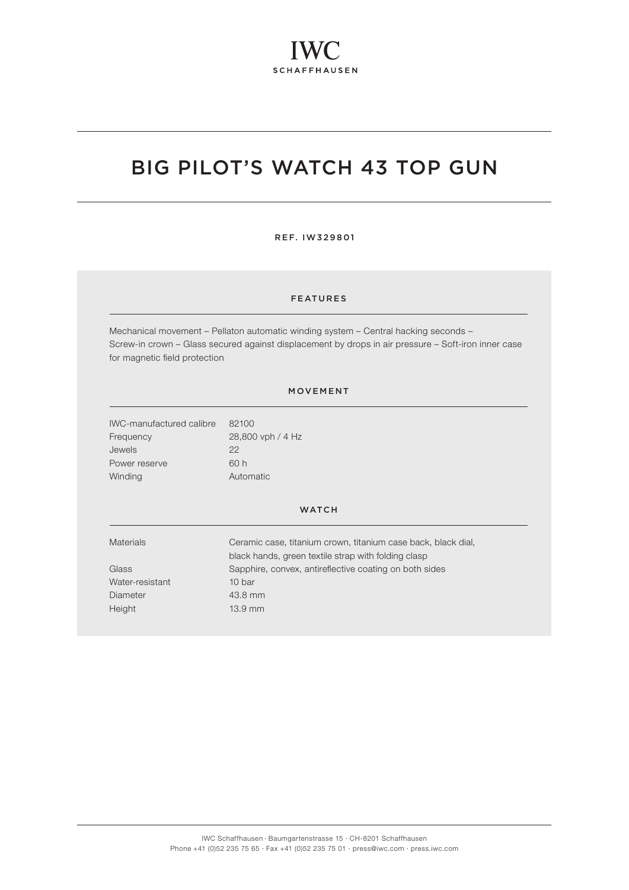# BIG PILOT'S WATCH 43 TOP GUN

REF. IW329801

## FEATURES

Mechanical movement – Pellaton automatic winding system – Central hacking seconds – Screw-in crown – Glass secured against displacement by drops in air pressure – Soft-iron inner case for magnetic field protection

### MOVEMENT

IWC-manufactured calibre 82100 Frequency 28,800 vph / 4 Hz Jewels 22 Power reserve 60 h Winding **Automatic** 

#### **WATCH**

Water-resistant 10 bar Diameter 43.8 mm Height 13.9 mm

Materials Ceramic case, titanium crown, titanium case back, black dial, black hands, green textile strap with folding clasp Glass Sapphire, convex, antireflective coating on both sides